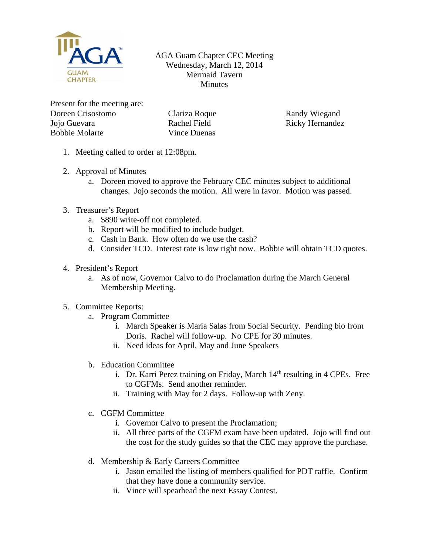

AGA Guam Chapter CEC Meeting Wednesday, March 12, 2014 Mermaid Tavern **Minutes** 

Present for the meeting are: Doreen Crisostomo Jojo Guevara Bobbie Molarte

Clariza Roque Rachel Field Vince Duenas

Randy Wiegand Ricky Hernandez

- 1. Meeting called to order at 12:08pm.
- 2. Approval of Minutes
	- a. Doreen moved to approve the February CEC minutes subject to additional changes. Jojo seconds the motion. All were in favor. Motion was passed.
- 3. Treasurer's Report
	- a. \$890 write-off not completed.
	- b. Report will be modified to include budget.
	- c. Cash in Bank. How often do we use the cash?
	- d. Consider TCD. Interest rate is low right now. Bobbie will obtain TCD quotes.
- 4. President's Report
	- a. As of now, Governor Calvo to do Proclamation during the March General Membership Meeting.
- 5. Committee Reports:
	- a. Program Committee
		- i. March Speaker is Maria Salas from Social Security. Pending bio from Doris. Rachel will follow-up. No CPE for 30 minutes.
		- ii. Need ideas for April, May and June Speakers
	- b. Education Committee
		- i. Dr. Karri Perez training on Friday, March  $14<sup>th</sup>$  resulting in 4 CPEs. Free to CGFMs. Send another reminder.
		- ii. Training with May for 2 days. Follow-up with Zeny.
	- c. CGFM Committee
		- i. Governor Calvo to present the Proclamation;
		- ii. All three parts of the CGFM exam have been updated. Jojo will find out the cost for the study guides so that the CEC may approve the purchase.
	- d. Membership & Early Careers Committee
		- i. Jason emailed the listing of members qualified for PDT raffle. Confirm that they have done a community service.
		- ii. Vince will spearhead the next Essay Contest.